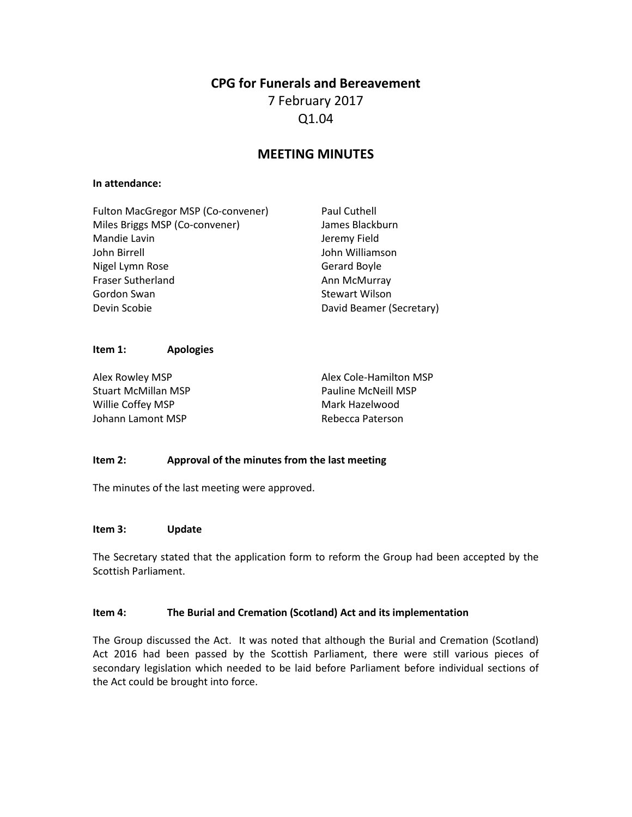# **CPG for Funerals and Bereavement**

## 7 February 2017 Q1.04

### **MEETING MINUTES**

#### **In attendance:**

| Fulton MacGregor MSP (Co-convener) | Paul Cuthell             |
|------------------------------------|--------------------------|
| Miles Briggs MSP (Co-convener)     | James Blackburn          |
| Mandie Lavin                       | Jeremy Field             |
| John Birrell                       | John Williamson          |
| Nigel Lymn Rose                    | Gerard Boyle             |
| Fraser Sutherland                  | Ann McMurray             |
| Gordon Swan                        | <b>Stewart Wilson</b>    |
| Devin Scobie                       | David Beamer (Secretary) |
|                                    |                          |

#### **Item 1: Apologies**

Alex Rowley MSP Stuart McMillan MSP Willie Coffey MSP Johann Lamont MSP

Alex Cole-Hamilton MSP Pauline McNeill MSP Mark Hazelwood Rebecca Paterson

#### **Item 2: Approval of the minutes from the last meeting**

The minutes of the last meeting were approved.

#### **Item 3: Update**

The Secretary stated that the application form to reform the Group had been accepted by the Scottish Parliament.

#### **Item 4: The Burial and Cremation (Scotland) Act and its implementation**

The Group discussed the Act. It was noted that although the Burial and Cremation (Scotland) Act 2016 had been passed by the Scottish Parliament, there were still various pieces of secondary legislation which needed to be laid before Parliament before individual sections of the Act could be brought into force.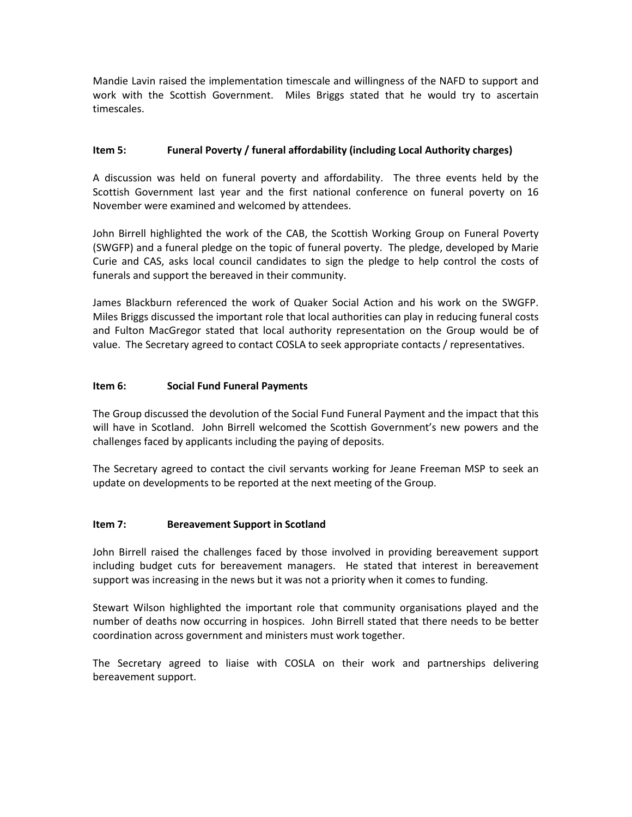Mandie Lavin raised the implementation timescale and willingness of the NAFD to support and work with the Scottish Government. Miles Briggs stated that he would try to ascertain timescales.

#### **Item 5: Funeral Poverty / funeral affordability (including Local Authority charges)**

A discussion was held on funeral poverty and affordability. The three events held by the Scottish Government last year and the first national conference on funeral poverty on 16 November were examined and welcomed by attendees.

John Birrell highlighted the work of the CAB, the Scottish Working Group on Funeral Poverty (SWGFP) and a funeral pledge on the topic of funeral poverty. The pledge, developed by Marie Curie and CAS, asks local council candidates to sign the pledge to help control the costs of funerals and support the bereaved in their community.

James Blackburn referenced the work of Quaker Social Action and his work on the SWGFP. Miles Briggs discussed the important role that local authorities can play in reducing funeral costs and Fulton MacGregor stated that local authority representation on the Group would be of value. The Secretary agreed to contact COSLA to seek appropriate contacts / representatives.

#### **Item 6: Social Fund Funeral Payments**

The Group discussed the devolution of the Social Fund Funeral Payment and the impact that this will have in Scotland. John Birrell welcomed the Scottish Government's new powers and the challenges faced by applicants including the paying of deposits.

The Secretary agreed to contact the civil servants working for Jeane Freeman MSP to seek an update on developments to be reported at the next meeting of the Group.

#### **Item 7: Bereavement Support in Scotland**

John Birrell raised the challenges faced by those involved in providing bereavement support including budget cuts for bereavement managers. He stated that interest in bereavement support was increasing in the news but it was not a priority when it comes to funding.

Stewart Wilson highlighted the important role that community organisations played and the number of deaths now occurring in hospices. John Birrell stated that there needs to be better coordination across government and ministers must work together.

The Secretary agreed to liaise with COSLA on their work and partnerships delivering bereavement support.